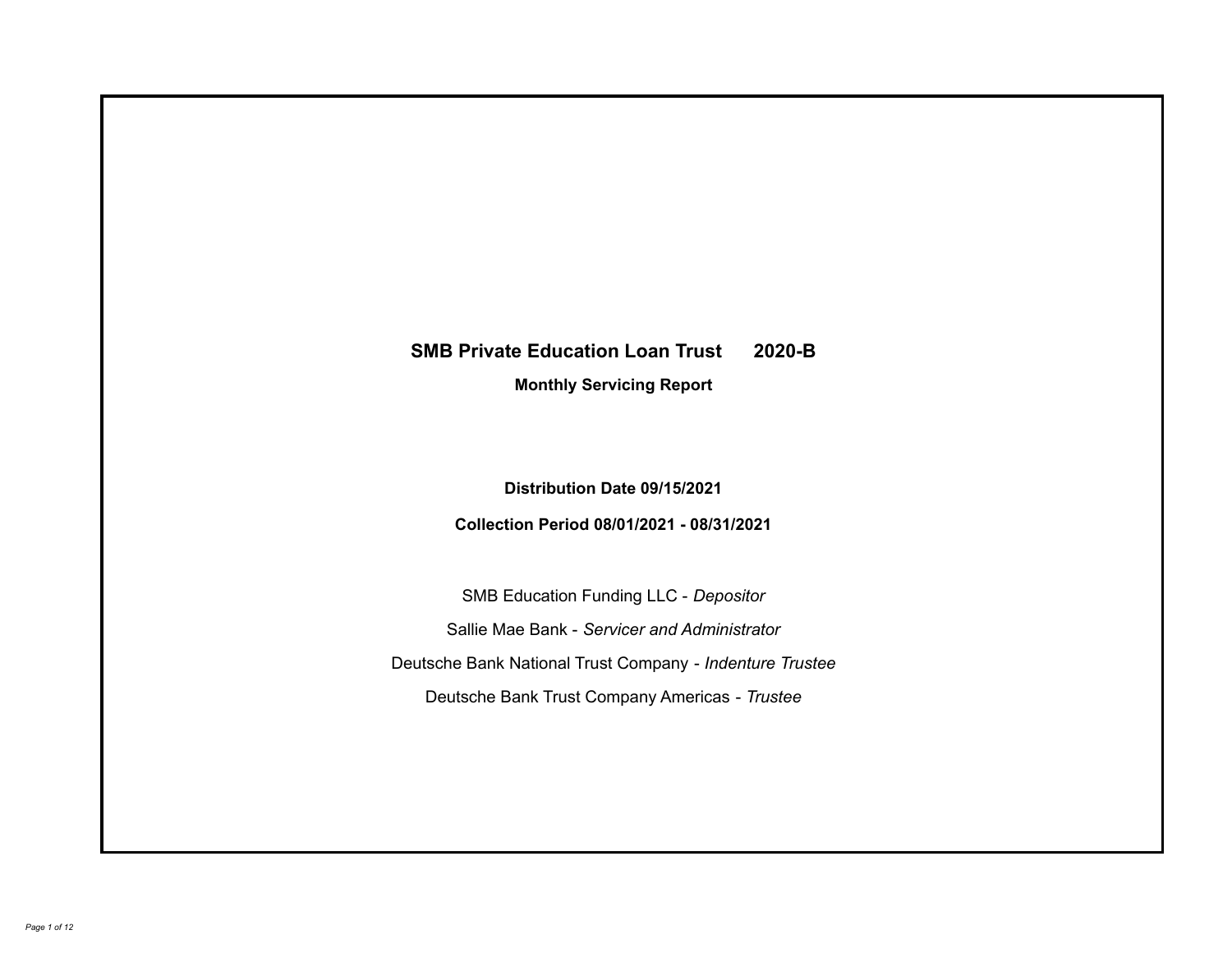# **SMB Private Education Loan Trust 2020-B**

**Monthly Servicing Report**

**Distribution Date 09/15/2021**

**Collection Period 08/01/2021 - 08/31/2021**

SMB Education Funding LLC - *Depositor* Sallie Mae Bank - *Servicer and Administrator* Deutsche Bank National Trust Company - *Indenture Trustee* Deutsche Bank Trust Company Americas - *Trustee*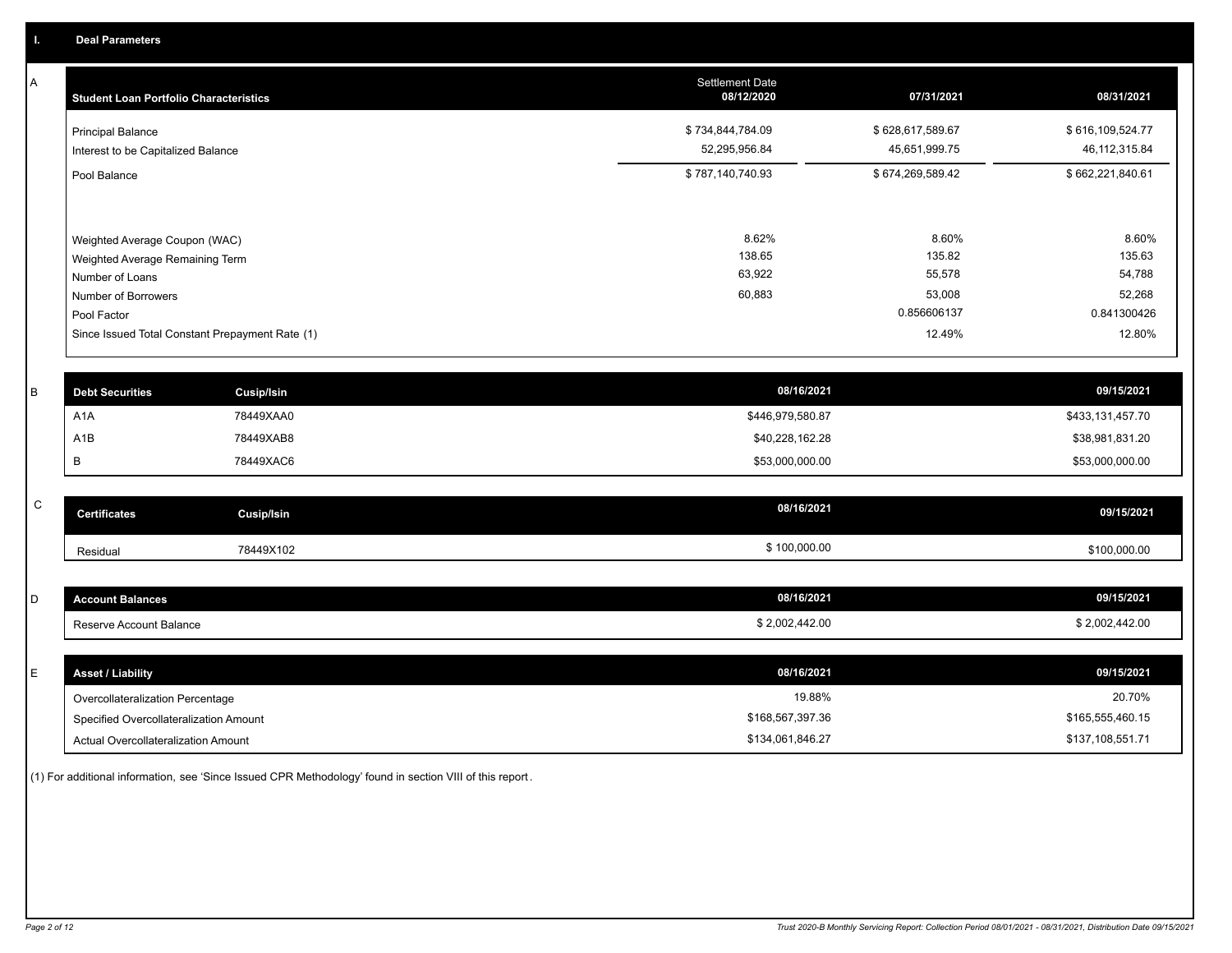A

| <b>Student Loan Portfolio Characteristics</b>                                                                             | <b>Settlement Date</b><br>08/12/2020 | 07/31/2021                                         | 08/31/2021                                         |
|---------------------------------------------------------------------------------------------------------------------------|--------------------------------------|----------------------------------------------------|----------------------------------------------------|
| <b>Principal Balance</b><br>Interest to be Capitalized Balance                                                            | \$734,844,784.09<br>52,295,956.84    | \$628,617,589.67<br>45,651,999.75                  | \$616,109,524.77<br>46, 112, 315.84                |
| Pool Balance                                                                                                              | \$787,140,740.93                     | \$674,269,589.42                                   | \$662,221,840.61                                   |
| Weighted Average Coupon (WAC)<br>Weighted Average Remaining Term<br>Number of Loans<br>Number of Borrowers<br>Pool Factor | 8.62%<br>138.65<br>63,922<br>60,883  | 8.60%<br>135.82<br>55,578<br>53,008<br>0.856606137 | 8.60%<br>135.63<br>54,788<br>52,268<br>0.841300426 |
| Since Issued Total Constant Prepayment Rate (1)                                                                           |                                      | 12.49%                                             | 12.80%                                             |

| <b>Debt Securities</b> | Cusip/Isin | 08/16/2021       | 09/15/2021       |
|------------------------|------------|------------------|------------------|
| A <sub>1</sub> A       | 78449XAA0  | \$446,979,580.87 | \$433,131,457.70 |
| A1B                    | 78449XAB8  | \$40,228,162.28  | \$38,981,831.20  |
|                        | 78449XAC6  | \$53,000,000.00  | \$53,000,000.00  |
|                        |            |                  |                  |

| C | <b>Certificates</b> | <b>Cusip/Isin</b> | 08/16/2021   | 09/15/2021   |
|---|---------------------|-------------------|--------------|--------------|
|   | Residual            | 78449X102         | \$100,000.00 | \$100,000.00 |

| <b>Account Balances</b> | 08/16/2021     | 09/15/2021     |
|-------------------------|----------------|----------------|
| Reserve Account Balance | \$2,002,442.00 | \$2,002,442.00 |

| <b>Asset / Liability</b>               | 08/16/2021       | 09/15/2021       |
|----------------------------------------|------------------|------------------|
| Overcollateralization Percentage       | 19.88%           | 20.70%           |
| Specified Overcollateralization Amount | \$168,567,397.36 | \$165,555,460.15 |
| Actual Overcollateralization Amount    | \$134,061,846.27 | \$137,108,551.71 |

(1) For additional information, see 'Since Issued CPR Methodology' found in section VIII of this report .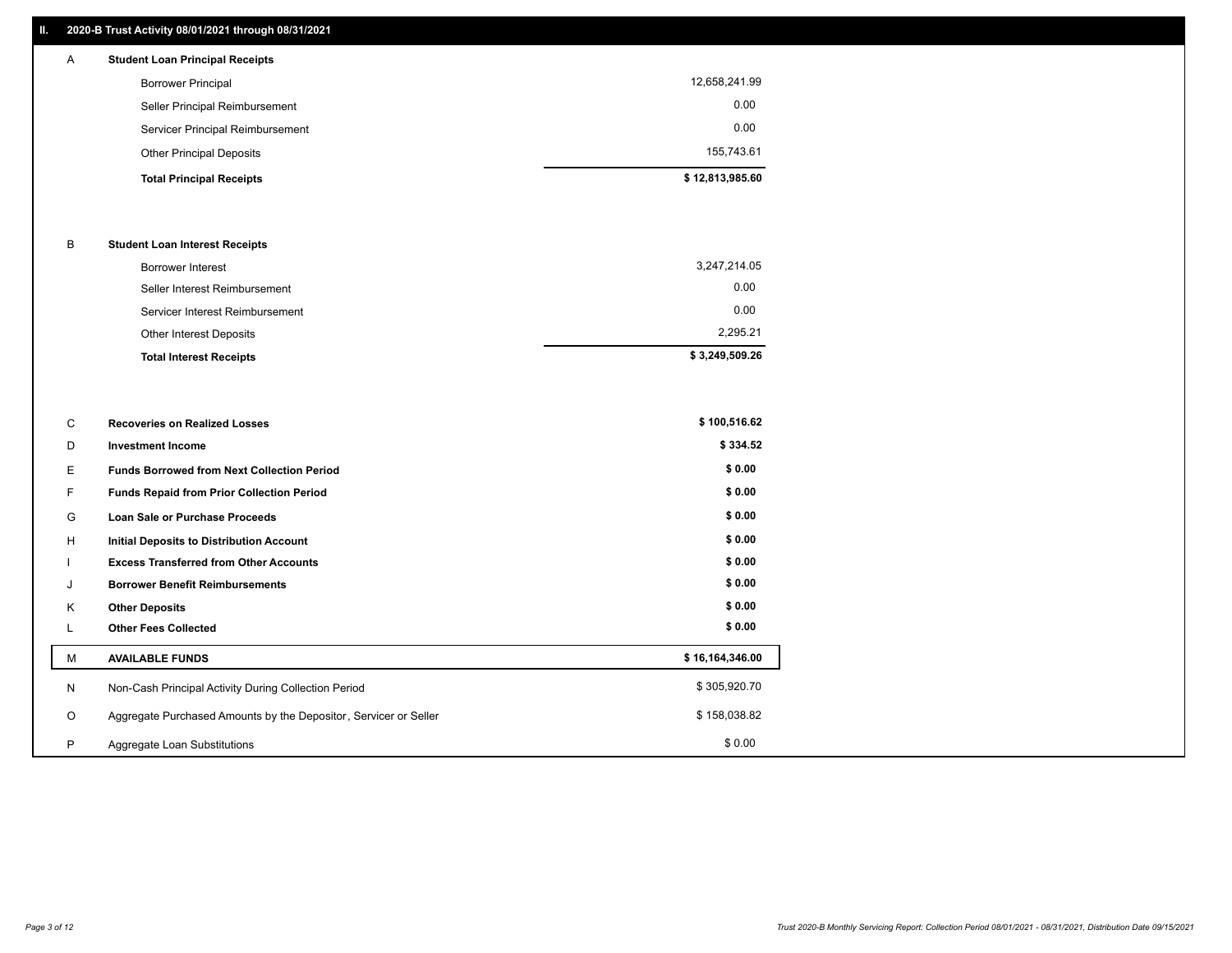# **II. 2020-B Trust Activity 08/01/2021 through 08/31/2021**

| <b>Student Loan Principal Receipts</b> |               |
|----------------------------------------|---------------|
| Borrower Principal                     | 12,658,241.99 |
| Seller Principal Reimbursement         | 0.00          |

| <b>Total Principal Receipts</b>  | \$12,813,985.60 |
|----------------------------------|-----------------|
| <b>Other Principal Deposits</b>  | 155.743.61      |
| Servicer Principal Reimbursement | 0.00            |
| super runoper runnouroundin      |                 |

## B **Student Loan Interest Receipts**

| <b>Total Interest Receipts</b>  | \$3,249,509.26 |
|---------------------------------|----------------|
| Other Interest Deposits         | 2.295.21       |
| Servicer Interest Reimbursement | 0.00           |
| Seller Interest Reimbursement   | 0.00           |
| Borrower Interest               | 3,247,214.05   |

| C       | <b>Recoveries on Realized Losses</b>                             | \$100,516.62    |
|---------|------------------------------------------------------------------|-----------------|
| D       | <b>Investment Income</b>                                         | \$334.52        |
| Е.      | <b>Funds Borrowed from Next Collection Period</b>                | \$0.00          |
| F.      | <b>Funds Repaid from Prior Collection Period</b>                 | \$0.00          |
| G       | Loan Sale or Purchase Proceeds                                   | \$0.00          |
| H       | Initial Deposits to Distribution Account                         | \$0.00          |
|         | <b>Excess Transferred from Other Accounts</b>                    | \$0.00          |
| J       | <b>Borrower Benefit Reimbursements</b>                           | \$0.00          |
| K       | <b>Other Deposits</b>                                            | \$0.00          |
| L.      | <b>Other Fees Collected</b>                                      | \$0.00          |
| м       | <b>AVAILABLE FUNDS</b>                                           | \$16,164,346.00 |
| N       | Non-Cash Principal Activity During Collection Period             | \$305,920.70    |
| $\circ$ | Aggregate Purchased Amounts by the Depositor, Servicer or Seller | \$158,038.82    |
| P       | Aggregate Loan Substitutions                                     | \$0.00          |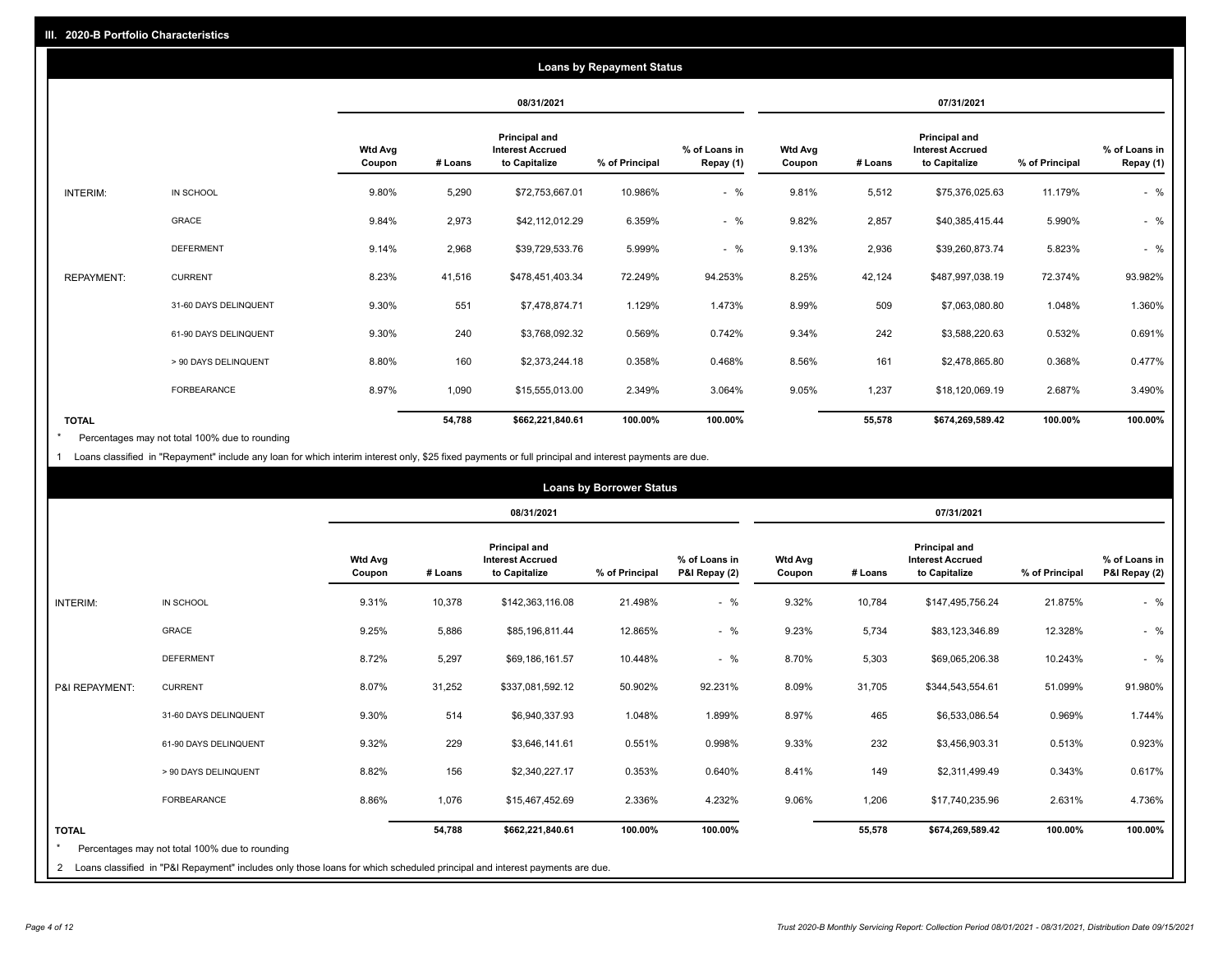|                   |                       |                   |         |                                                           | <b>Loans by Repayment Status</b> |                            |                          |         |                                                           |                |                            |
|-------------------|-----------------------|-------------------|---------|-----------------------------------------------------------|----------------------------------|----------------------------|--------------------------|---------|-----------------------------------------------------------|----------------|----------------------------|
|                   |                       |                   |         | 08/31/2021                                                |                                  |                            |                          |         | 07/31/2021                                                |                |                            |
|                   |                       | Wtd Avg<br>Coupon | # Loans | Principal and<br><b>Interest Accrued</b><br>to Capitalize | % of Principal                   | % of Loans in<br>Repay (1) | <b>Wtd Avg</b><br>Coupon | # Loans | Principal and<br><b>Interest Accrued</b><br>to Capitalize | % of Principal | % of Loans in<br>Repay (1) |
| INTERIM:          | IN SCHOOL             | 9.80%             | 5,290   | \$72,753,667.01                                           | 10.986%                          | $-$ %                      | 9.81%                    | 5,512   | \$75,376,025.63                                           | 11.179%        | $-$ %                      |
|                   | GRACE                 | 9.84%             | 2,973   | \$42,112,012.29                                           | 6.359%                           | $-$ %                      | 9.82%                    | 2,857   | \$40,385,415.44                                           | 5.990%         | $-$ %                      |
|                   | <b>DEFERMENT</b>      | 9.14%             | 2,968   | \$39,729,533.76                                           | 5.999%                           | $-$ %                      | 9.13%                    | 2,936   | \$39,260,873.74                                           | 5.823%         | $-$ %                      |
| <b>REPAYMENT:</b> | <b>CURRENT</b>        | 8.23%             | 41,516  | \$478,451,403.34                                          | 72.249%                          | 94.253%                    | 8.25%                    | 42,124  | \$487,997,038.19                                          | 72.374%        | 93.982%                    |
|                   | 31-60 DAYS DELINQUENT | 9.30%             | 551     | \$7,478,874.71                                            | 1.129%                           | 1.473%                     | 8.99%                    | 509     | \$7,063,080.80                                            | 1.048%         | 1.360%                     |
|                   | 61-90 DAYS DELINQUENT | 9.30%             | 240     | \$3,768,092.32                                            | 0.569%                           | 0.742%                     | 9.34%                    | 242     | \$3,588,220.63                                            | 0.532%         | 0.691%                     |
|                   | > 90 DAYS DELINQUENT  | 8.80%             | 160     | \$2,373,244.18                                            | 0.358%                           | 0.468%                     | 8.56%                    | 161     | \$2,478,865.80                                            | 0.368%         | 0.477%                     |
|                   | <b>FORBEARANCE</b>    | 8.97%             | 1,090   | \$15,555,013.00                                           | 2.349%                           | 3.064%                     | 9.05%                    | 1,237   | \$18,120,069.19                                           | 2.687%         | 3.490%                     |
| <b>TOTAL</b>      |                       |                   | 54,788  | \$662,221,840.61                                          | 100.00%                          | 100.00%                    |                          | 55,578  | \$674,269,589.42                                          | 100.00%        | 100.00%                    |

Percentages may not total 100% due to rounding \*

1 Loans classified in "Repayment" include any loan for which interim interest only, \$25 fixed payments or full principal and interest payments are due.

|                 |                                                                                                                                                                                |                          |         |                                                                  | <b>Loans by Borrower Status</b> |                                |                          |         |                                                                  |                |                                |
|-----------------|--------------------------------------------------------------------------------------------------------------------------------------------------------------------------------|--------------------------|---------|------------------------------------------------------------------|---------------------------------|--------------------------------|--------------------------|---------|------------------------------------------------------------------|----------------|--------------------------------|
|                 |                                                                                                                                                                                |                          |         | 08/31/2021                                                       |                                 |                                |                          |         | 07/31/2021                                                       |                |                                |
|                 |                                                                                                                                                                                | <b>Wtd Avg</b><br>Coupon | # Loans | <b>Principal and</b><br><b>Interest Accrued</b><br>to Capitalize | % of Principal                  | % of Loans in<br>P&I Repay (2) | <b>Wtd Avg</b><br>Coupon | # Loans | <b>Principal and</b><br><b>Interest Accrued</b><br>to Capitalize | % of Principal | % of Loans in<br>P&I Repay (2) |
| <b>INTERIM:</b> | IN SCHOOL                                                                                                                                                                      | 9.31%                    | 10,378  | \$142,363,116.08                                                 | 21.498%                         | $-$ %                          | 9.32%                    | 10,784  | \$147,495,756.24                                                 | 21.875%        | $-$ %                          |
|                 | <b>GRACE</b>                                                                                                                                                                   | 9.25%                    | 5,886   | \$85,196,811.44                                                  | 12.865%                         | $-$ %                          | 9.23%                    | 5,734   | \$83,123,346.89                                                  | 12.328%        | $-$ %                          |
|                 | <b>DEFERMENT</b>                                                                                                                                                               | 8.72%                    | 5,297   | \$69,186,161.57                                                  | 10.448%                         | $-$ %                          | 8.70%                    | 5,303   | \$69,065,206.38                                                  | 10.243%        | $-$ %                          |
| P&I REPAYMENT:  | <b>CURRENT</b>                                                                                                                                                                 | 8.07%                    | 31,252  | \$337,081,592.12                                                 | 50.902%                         | 92.231%                        | 8.09%                    | 31,705  | \$344,543,554.61                                                 | 51.099%        | 91.980%                        |
|                 | 31-60 DAYS DELINQUENT                                                                                                                                                          | 9.30%                    | 514     | \$6,940,337.93                                                   | 1.048%                          | 1.899%                         | 8.97%                    | 465     | \$6,533,086.54                                                   | 0.969%         | 1.744%                         |
|                 | 61-90 DAYS DELINQUENT                                                                                                                                                          | 9.32%                    | 229     | \$3,646,141.61                                                   | 0.551%                          | 0.998%                         | 9.33%                    | 232     | \$3,456,903.31                                                   | 0.513%         | 0.923%                         |
|                 | > 90 DAYS DELINQUENT                                                                                                                                                           | 8.82%                    | 156     | \$2,340,227.17                                                   | 0.353%                          | 0.640%                         | 8.41%                    | 149     | \$2,311,499.49                                                   | 0.343%         | 0.617%                         |
|                 | <b>FORBEARANCE</b>                                                                                                                                                             | 8.86%                    | 1,076   | \$15,467,452.69                                                  | 2.336%                          | 4.232%                         | 9.06%                    | 1,206   | \$17,740,235.96                                                  | 2.631%         | 4.736%                         |
| <b>TOTAL</b>    | Percentages may not total 100% due to rounding<br>2 Loans classified in "P&I Repayment" includes only those loans for which scheduled principal and interest payments are due. |                          | 54,788  | \$662,221,840.61                                                 | 100.00%                         | 100.00%                        |                          | 55,578  | \$674,269,589.42                                                 | 100.00%        | 100.00%                        |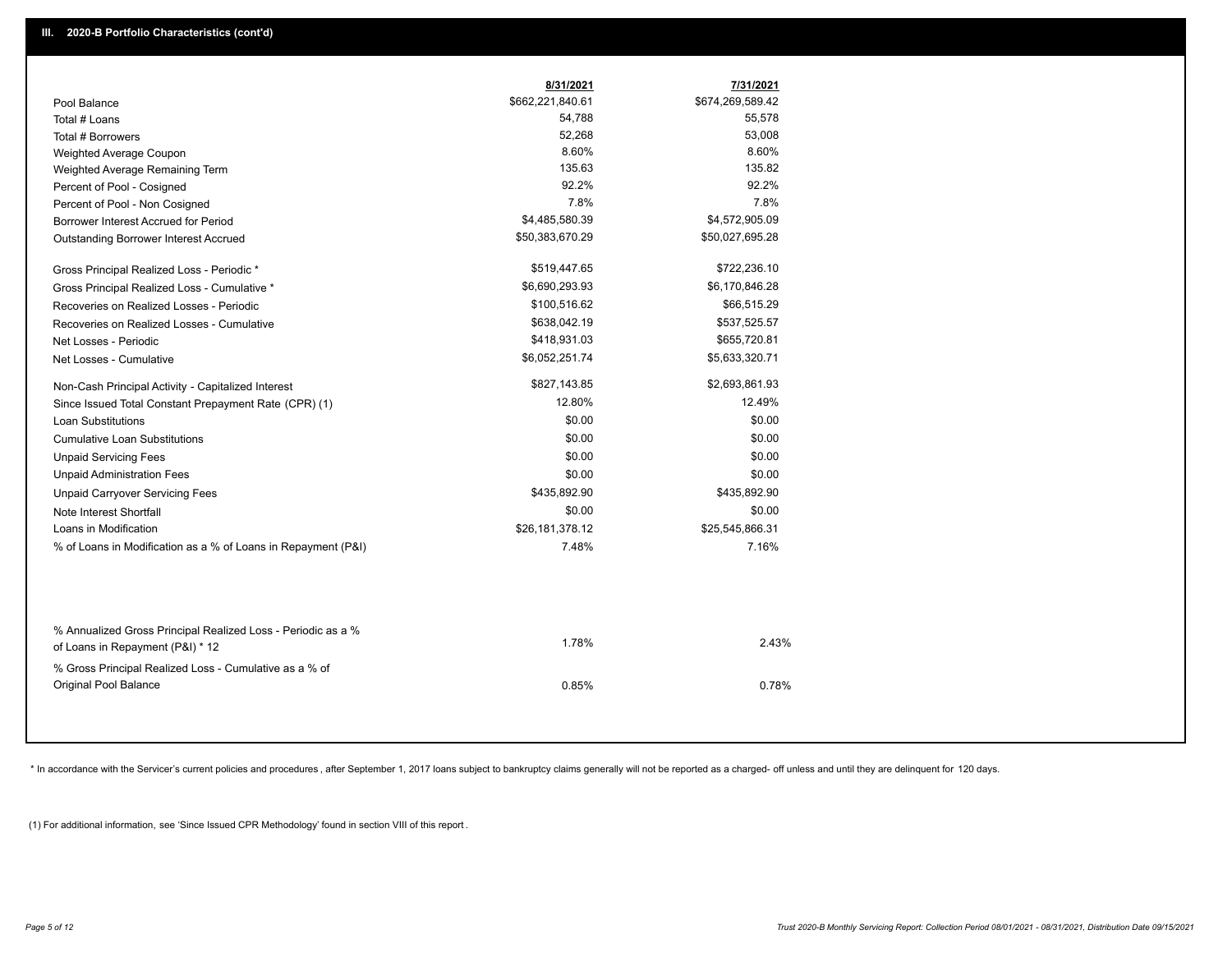|                                                                                        | 8/31/2021        | 7/31/2021        |
|----------------------------------------------------------------------------------------|------------------|------------------|
| Pool Balance                                                                           | \$662,221,840.61 | \$674,269,589.42 |
| Total # Loans                                                                          | 54,788           | 55,578           |
| Total # Borrowers                                                                      | 52,268           | 53,008           |
| Weighted Average Coupon                                                                | 8.60%            | 8.60%            |
| Weighted Average Remaining Term                                                        | 135.63           | 135.82           |
| Percent of Pool - Cosigned                                                             | 92.2%            | 92.2%            |
| Percent of Pool - Non Cosigned                                                         | 7.8%             | 7.8%             |
| Borrower Interest Accrued for Period                                                   | \$4,485,580.39   | \$4,572,905.09   |
| Outstanding Borrower Interest Accrued                                                  | \$50,383,670.29  | \$50,027,695.28  |
| Gross Principal Realized Loss - Periodic *                                             | \$519,447.65     | \$722,236.10     |
| Gross Principal Realized Loss - Cumulative *                                           | \$6,690,293.93   | \$6,170,846.28   |
| Recoveries on Realized Losses - Periodic                                               | \$100,516.62     | \$66,515.29      |
| Recoveries on Realized Losses - Cumulative                                             | \$638,042.19     | \$537,525.57     |
| Net Losses - Periodic                                                                  | \$418,931.03     | \$655,720.81     |
| Net Losses - Cumulative                                                                | \$6,052,251.74   | \$5,633,320.71   |
| Non-Cash Principal Activity - Capitalized Interest                                     | \$827,143.85     | \$2,693,861.93   |
| Since Issued Total Constant Prepayment Rate (CPR) (1)                                  | 12.80%           | 12.49%           |
| <b>Loan Substitutions</b>                                                              | \$0.00           | \$0.00           |
| <b>Cumulative Loan Substitutions</b>                                                   | \$0.00           | \$0.00           |
| <b>Unpaid Servicing Fees</b>                                                           | \$0.00           | \$0.00           |
| <b>Unpaid Administration Fees</b>                                                      | \$0.00           | \$0.00           |
| <b>Unpaid Carryover Servicing Fees</b>                                                 | \$435,892.90     | \$435,892.90     |
| Note Interest Shortfall                                                                | \$0.00           | \$0.00           |
| Loans in Modification                                                                  | \$26,181,378.12  | \$25,545,866.31  |
| % of Loans in Modification as a % of Loans in Repayment (P&I)                          | 7.48%            | 7.16%            |
| % Annualized Gross Principal Realized Loss - Periodic as a %                           |                  |                  |
| of Loans in Repayment (P&I) * 12                                                       | 1.78%            | 2.43%            |
| % Gross Principal Realized Loss - Cumulative as a % of<br><b>Original Pool Balance</b> | 0.85%            | 0.78%            |

\* In accordance with the Servicer's current policies and procedures, after September 1, 2017 loans subject to bankruptcy claims generally will not be reported as a charged- off unless and until they are delinquent for 120

(1) For additional information, see 'Since Issued CPR Methodology' found in section VIII of this report .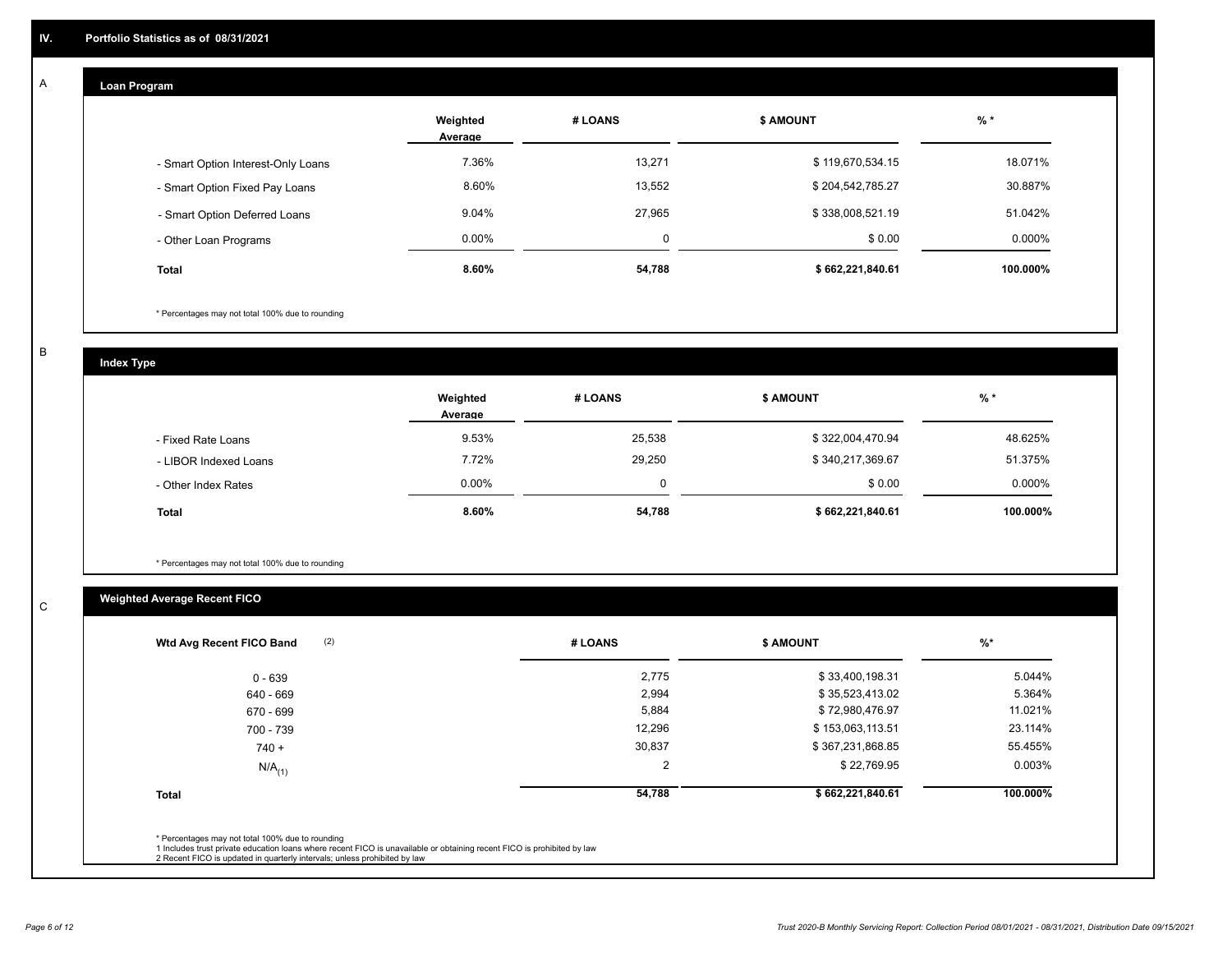# **Loan Program**

A

|                                    | Weighted<br>Average | # LOANS | <b>\$ AMOUNT</b> | $%$ *     |
|------------------------------------|---------------------|---------|------------------|-----------|
| - Smart Option Interest-Only Loans | 7.36%               | 13,271  | \$119,670,534.15 | 18.071%   |
| - Smart Option Fixed Pay Loans     | 8.60%               | 13,552  | \$204,542,785.27 | 30.887%   |
| - Smart Option Deferred Loans      | 9.04%               | 27.965  | \$338,008,521.19 | 51.042%   |
| - Other Loan Programs              | $0.00\%$            | 0       | \$0.00           | $0.000\%$ |
| <b>Total</b>                       | 8.60%               | 54,788  | \$662,221,840.61 | 100.000%  |

\* Percentages may not total 100% due to rounding

B

C

**Index Type**

|                       | Weighted<br>Average | # LOANS | <b>\$ AMOUNT</b> | $%$ *     |
|-----------------------|---------------------|---------|------------------|-----------|
| - Fixed Rate Loans    | 9.53%               | 25,538  | \$322,004,470.94 | 48.625%   |
| - LIBOR Indexed Loans | 7.72%               | 29,250  | \$340,217,369.67 | 51.375%   |
| - Other Index Rates   | $0.00\%$            | 0       | \$0.00           | $0.000\%$ |
| <b>Total</b>          | 8.60%               | 54,788  | \$662,221,840.61 | 100.000%  |

\* Percentages may not total 100% due to rounding

# **Weighted Average Recent FICO**

| 2,775<br>2,994<br>5,884<br>12,296 | \$33,400,198.31<br>\$35,523,413.02<br>\$72,980,476.97<br>\$153,063,113.51 | 5.044%<br>5.364%<br>11.021% |
|-----------------------------------|---------------------------------------------------------------------------|-----------------------------|
|                                   |                                                                           |                             |
|                                   |                                                                           |                             |
|                                   |                                                                           |                             |
|                                   |                                                                           | 23.114%                     |
| 30,837                            | \$367,231,868.85                                                          | 55.455%                     |
| 2                                 | \$22,769.95                                                               | 0.003%                      |
| 54,788                            | \$662,221,840.61                                                          | 100.000%                    |
|                                   |                                                                           |                             |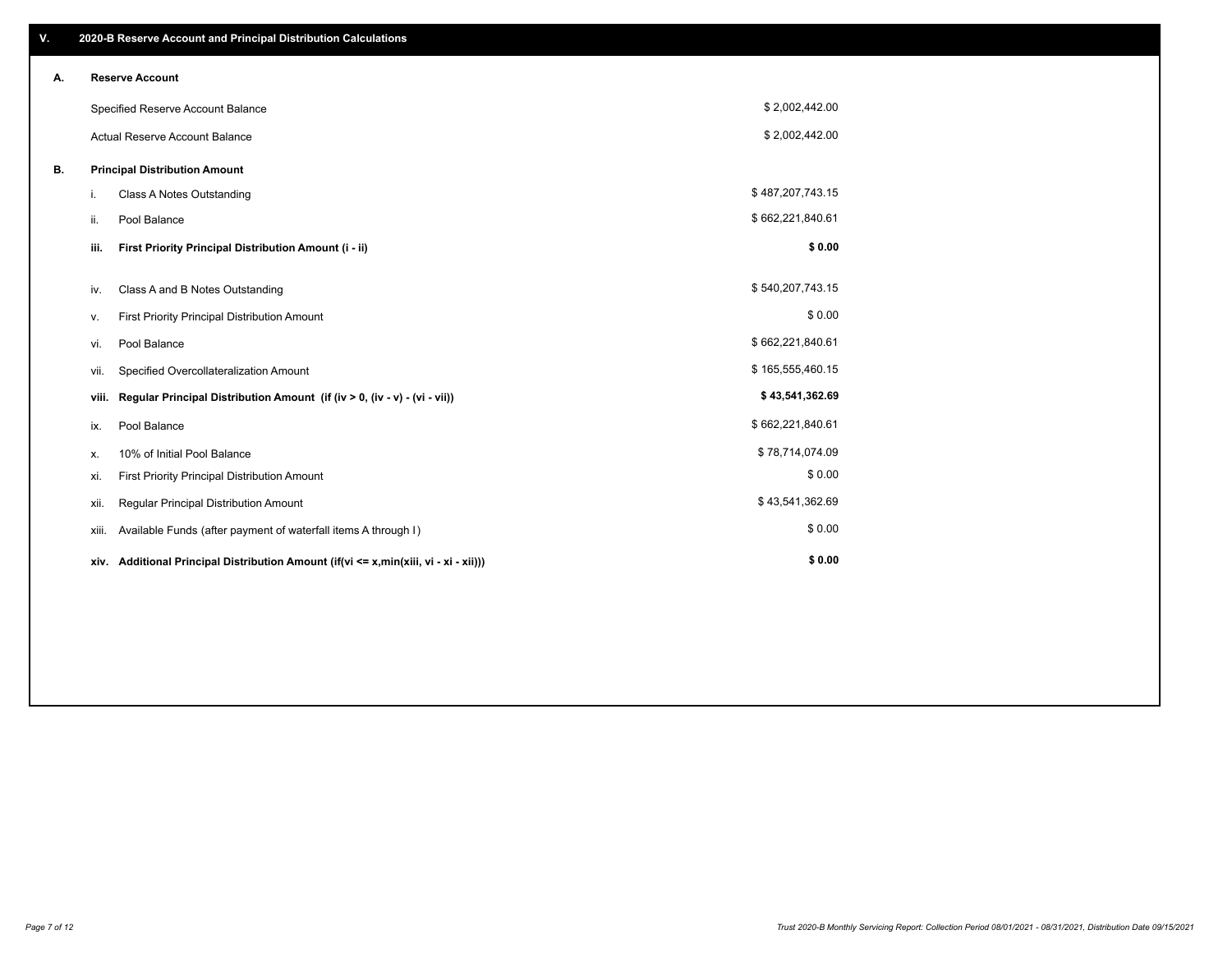| V. |       | 2020-B Reserve Account and Principal Distribution Calculations                       |                  |  |
|----|-------|--------------------------------------------------------------------------------------|------------------|--|
| А. |       | <b>Reserve Account</b>                                                               |                  |  |
|    |       | Specified Reserve Account Balance                                                    | \$2,002,442.00   |  |
|    |       | <b>Actual Reserve Account Balance</b>                                                | \$2,002,442.00   |  |
| В. |       | <b>Principal Distribution Amount</b>                                                 |                  |  |
|    | i.    | Class A Notes Outstanding                                                            | \$487,207,743.15 |  |
|    | ii.   | Pool Balance                                                                         | \$662,221,840.61 |  |
|    | iii.  | First Priority Principal Distribution Amount (i - ii)                                | \$0.00           |  |
|    | iv.   | Class A and B Notes Outstanding                                                      | \$540,207,743.15 |  |
|    | ۷.    | First Priority Principal Distribution Amount                                         | \$0.00           |  |
|    | vi.   | Pool Balance                                                                         | \$662,221,840.61 |  |
|    | vii.  | Specified Overcollateralization Amount                                               | \$165,555,460.15 |  |
|    | viii. | Regular Principal Distribution Amount (if (iv > 0, (iv - v) - (vi - vii))            | \$43,541,362.69  |  |
|    | ix.   | Pool Balance                                                                         | \$662,221,840.61 |  |
|    | х.    | 10% of Initial Pool Balance                                                          | \$78,714,074.09  |  |
|    | xi.   | First Priority Principal Distribution Amount                                         | \$0.00           |  |
|    | xii.  | Regular Principal Distribution Amount                                                | \$43,541,362.69  |  |
|    | xiii. | Available Funds (after payment of waterfall items A through I)                       | \$0.00           |  |
|    |       | xiv. Additional Principal Distribution Amount (if(vi <= x,min(xiii, vi - xi - xii))) | \$0.00           |  |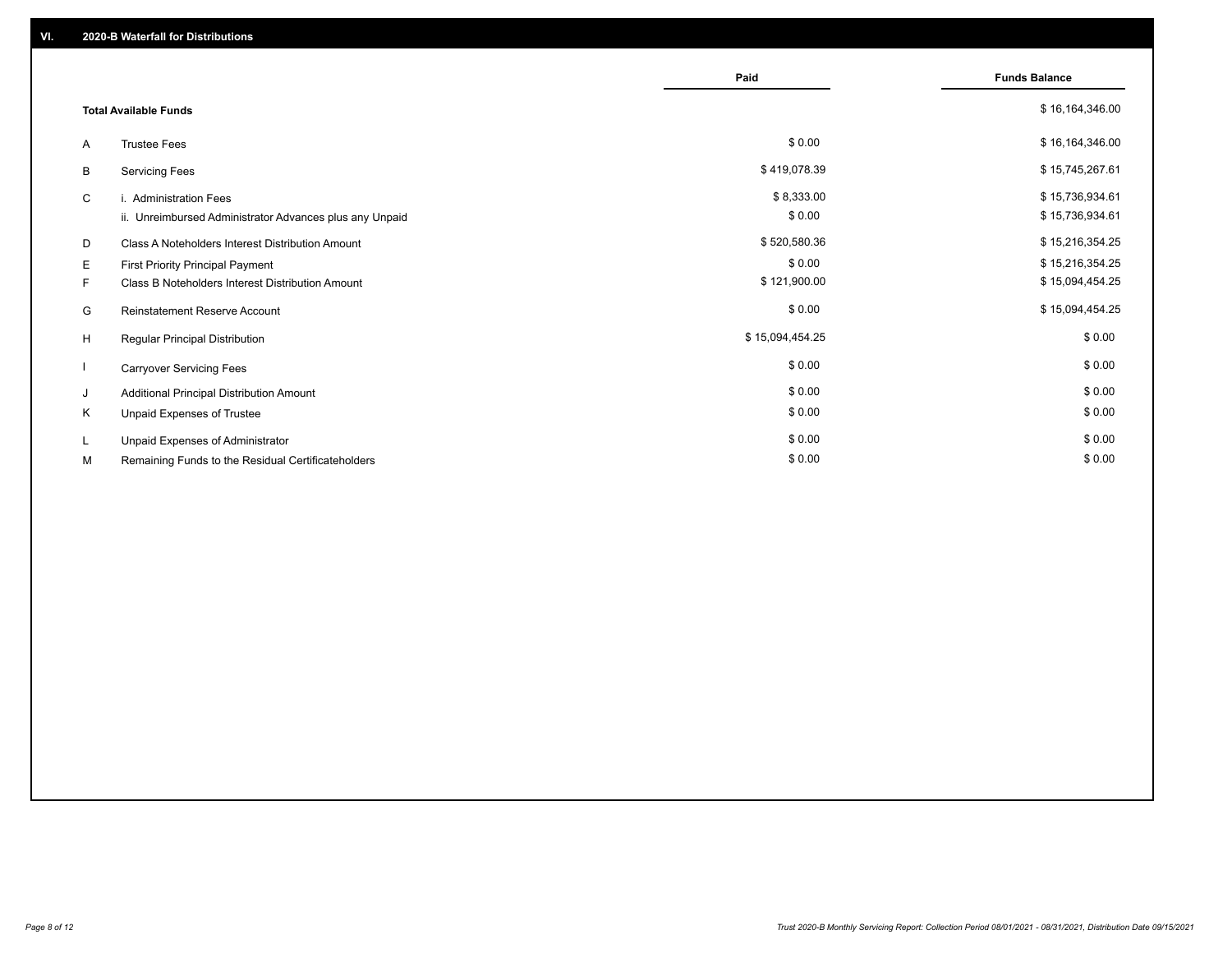|    |                                                         | Paid            | <b>Funds Balance</b> |
|----|---------------------------------------------------------|-----------------|----------------------|
|    | <b>Total Available Funds</b>                            |                 | \$16,164,346.00      |
| A  | <b>Trustee Fees</b>                                     | \$0.00          | \$16,164,346.00      |
| B  | <b>Servicing Fees</b>                                   | \$419,078.39    | \$15,745,267.61      |
| C  | i. Administration Fees                                  | \$8,333.00      | \$15,736,934.61      |
|    | ii. Unreimbursed Administrator Advances plus any Unpaid | \$0.00          | \$15,736,934.61      |
| D  | Class A Noteholders Interest Distribution Amount        | \$520,580.36    | \$15,216,354.25      |
| Е  | First Priority Principal Payment                        | \$0.00          | \$15,216,354.25      |
| F. | Class B Noteholders Interest Distribution Amount        | \$121,900.00    | \$15,094,454.25      |
| G  | <b>Reinstatement Reserve Account</b>                    | \$0.00          | \$15,094,454.25      |
| H  | Regular Principal Distribution                          | \$15,094,454.25 | \$0.00               |
|    | <b>Carryover Servicing Fees</b>                         | \$0.00          | \$0.00               |
| J  | Additional Principal Distribution Amount                | \$0.00          | \$0.00               |
| Κ  | Unpaid Expenses of Trustee                              | \$0.00          | \$0.00               |
| L  | Unpaid Expenses of Administrator                        | \$0.00          | \$0.00               |
| М  | Remaining Funds to the Residual Certificateholders      | \$0.00          | \$0.00               |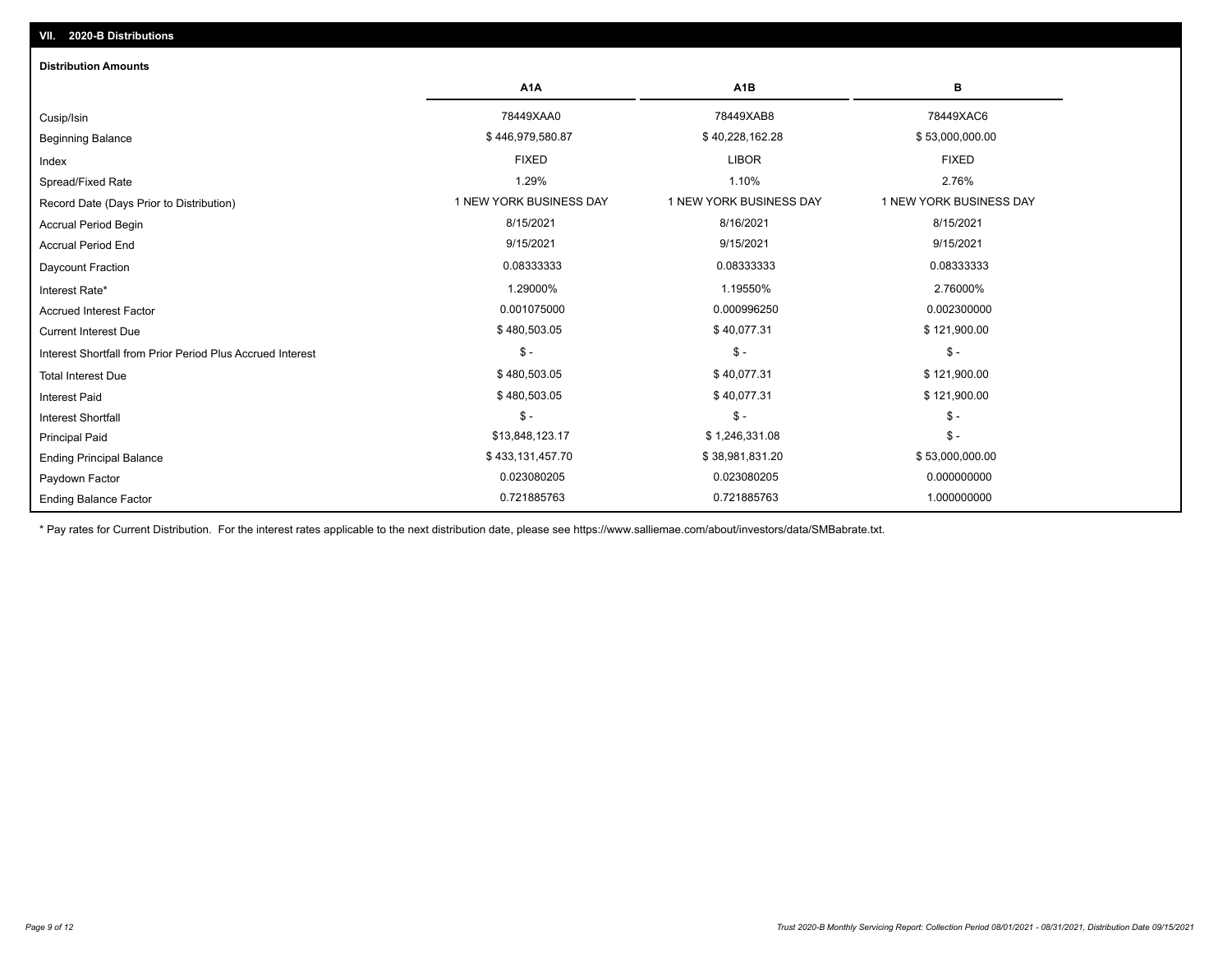| <b>Distribution Amounts</b>                                |                         |                         |                         |
|------------------------------------------------------------|-------------------------|-------------------------|-------------------------|
|                                                            | A <sub>1</sub> A        | A <sub>1</sub> B        | в                       |
| Cusip/Isin                                                 | 78449XAA0               | 78449XAB8               | 78449XAC6               |
| <b>Beginning Balance</b>                                   | \$446,979,580.87        | \$40,228,162.28         | \$53,000,000.00         |
| Index                                                      | <b>FIXED</b>            | <b>LIBOR</b>            | <b>FIXED</b>            |
| Spread/Fixed Rate                                          | 1.29%                   | 1.10%                   | 2.76%                   |
| Record Date (Days Prior to Distribution)                   | 1 NEW YORK BUSINESS DAY | 1 NEW YORK BUSINESS DAY | 1 NEW YORK BUSINESS DAY |
| <b>Accrual Period Begin</b>                                | 8/15/2021               | 8/16/2021               | 8/15/2021               |
| <b>Accrual Period End</b>                                  | 9/15/2021               | 9/15/2021               | 9/15/2021               |
| <b>Daycount Fraction</b>                                   | 0.08333333              | 0.08333333              | 0.08333333              |
| Interest Rate*                                             | 1.29000%                | 1.19550%                | 2.76000%                |
| <b>Accrued Interest Factor</b>                             | 0.001075000             | 0.000996250             | 0.002300000             |
| <b>Current Interest Due</b>                                | \$480,503.05            | \$40,077.31             | \$121,900.00            |
| Interest Shortfall from Prior Period Plus Accrued Interest | $\mathsf{\$}$ -         | $\mathsf{\$}$ -         | $\mathsf{\$}$ -         |
| <b>Total Interest Due</b>                                  | \$480,503.05            | \$40,077.31             | \$121,900.00            |
| <b>Interest Paid</b>                                       | \$480,503.05            | \$40,077.31             | \$121,900.00            |
| <b>Interest Shortfall</b>                                  | $$ -$                   | $$ -$                   | $$ -$                   |
| <b>Principal Paid</b>                                      | \$13,848,123.17         | \$1,246,331.08          | $$ -$                   |
| <b>Ending Principal Balance</b>                            | \$433,131,457.70        | \$38,981,831.20         | \$53,000,000.00         |
| Paydown Factor                                             | 0.023080205             | 0.023080205             | 0.000000000             |
| <b>Ending Balance Factor</b>                               | 0.721885763             | 0.721885763             | 1.000000000             |

\* Pay rates for Current Distribution. For the interest rates applicable to the next distribution date, please see https://www.salliemae.com/about/investors/data/SMBabrate.txt.

**VII. 2020-B Distributions**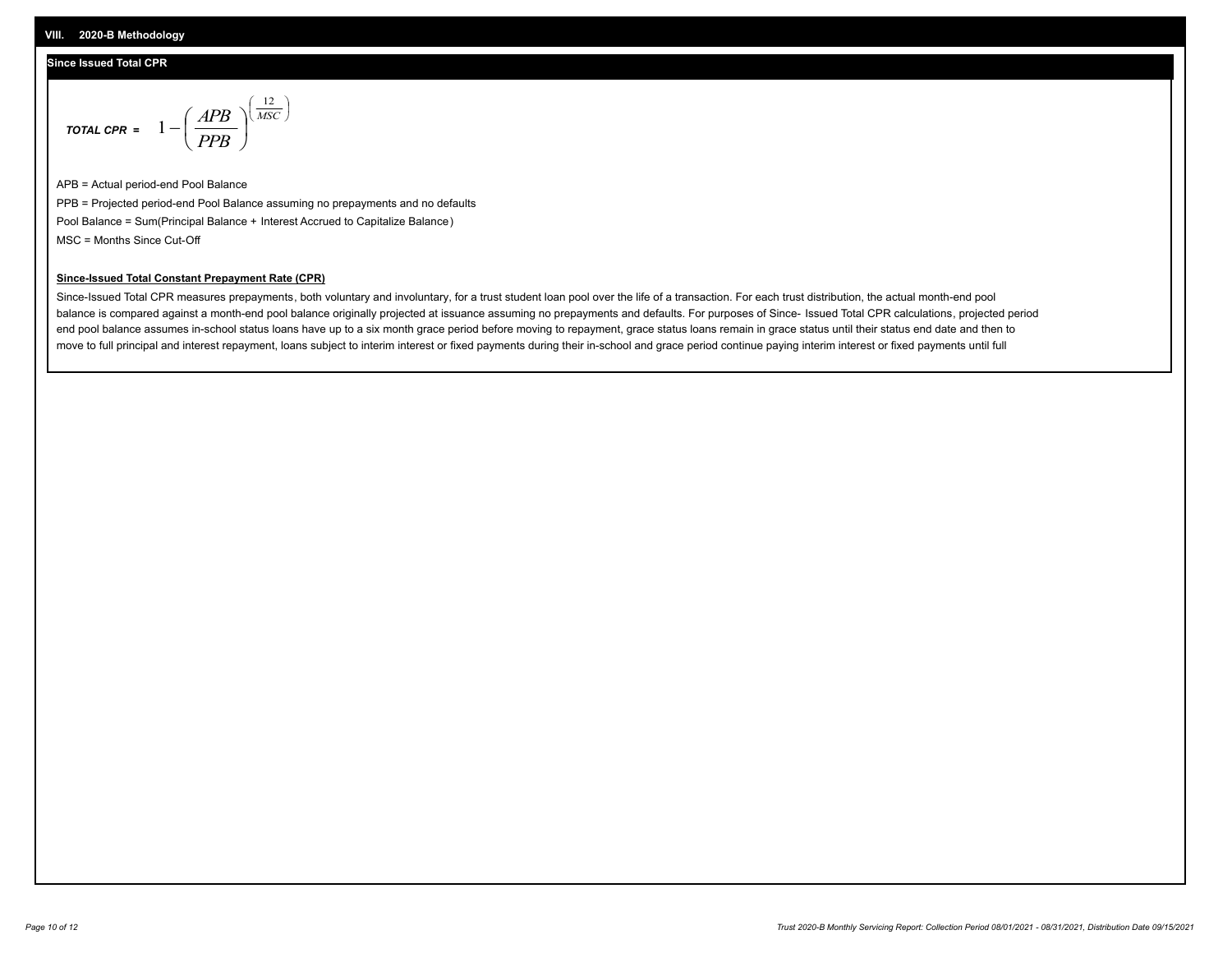## **Since Issued Total CPR**

$$
\text{total CPR} = 1 - \left(\frac{APB}{PPB}\right)^{\left(\frac{12}{MSC}\right)}
$$

APB = Actual period-end Pool Balance PPB = Projected period-end Pool Balance assuming no prepayments and no defaults Pool Balance = Sum(Principal Balance + Interest Accrued to Capitalize Balance) MSC = Months Since Cut-Off

 $\overline{\phantom{a}}$ J λ

#### **Since-Issued Total Constant Prepayment Rate (CPR)**

Since-Issued Total CPR measures prepayments, both voluntary and involuntary, for a trust student loan pool over the life of a transaction. For each trust distribution, the actual month-end pool balance is compared against a month-end pool balance originally projected at issuance assuming no prepayments and defaults. For purposes of Since- Issued Total CPR calculations, projected period end pool balance assumes in-school status loans have up to a six month grace period before moving to repayment, grace status loans remain in grace status until their status end date and then to move to full principal and interest repayment, loans subject to interim interest or fixed payments during their in-school and grace period continue paying interim interest or fixed payments until full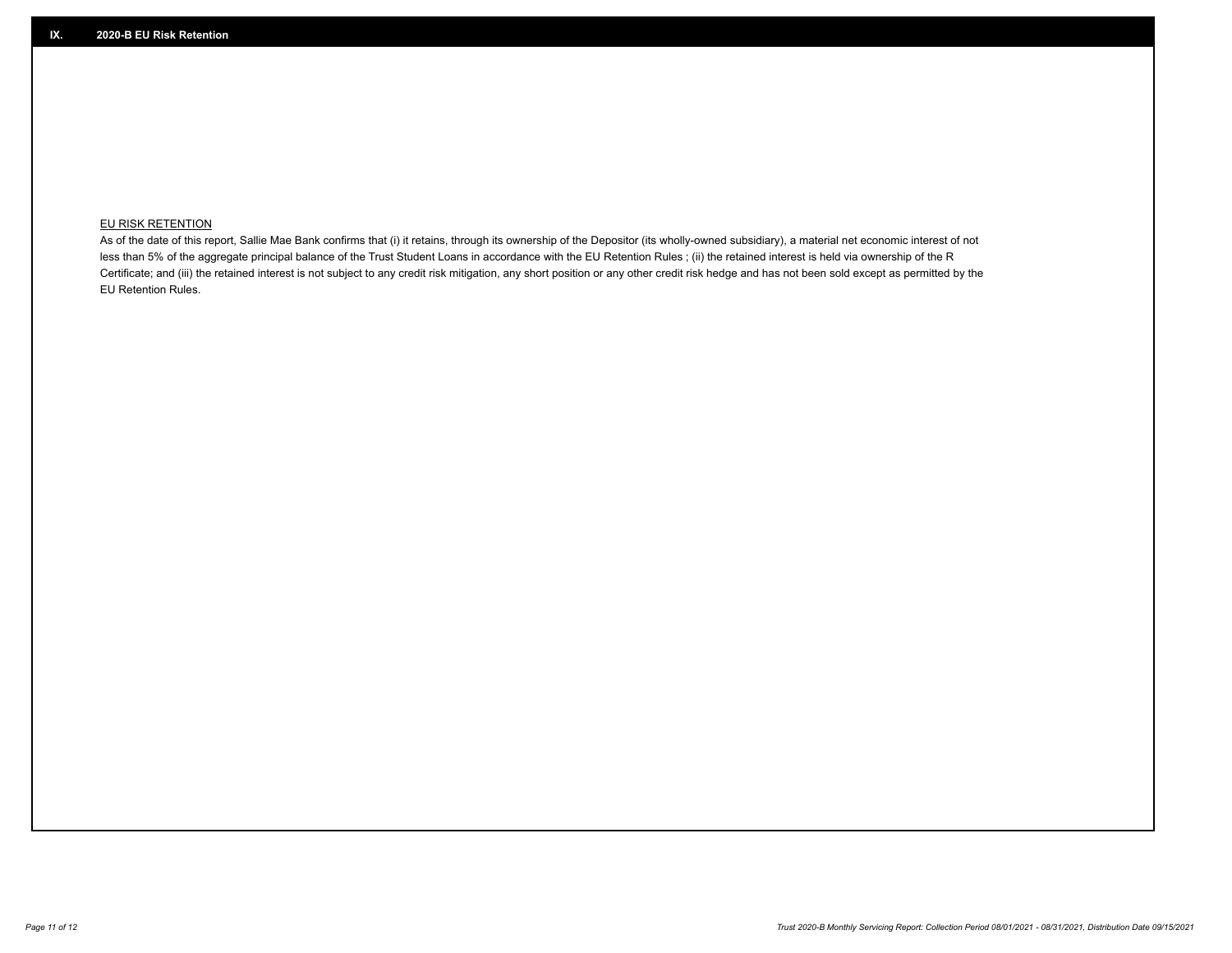## **EU RISK RETENTION**

As of the date of this report, Sallie Mae Bank confirms that (i) it retains, through its ownership of the Depositor (its wholly-owned subsidiary), a material net economic interest of not less than 5% of the aggregate principal balance of the Trust Student Loans in accordance with the EU Retention Rules ; (ii) the retained interest is held via ownership of the R Certificate; and (iii) the retained interest is not subject to any credit risk mitigation, any short position or any other credit risk hedge and has not been sold except as permitted by the EU Retention Rules.